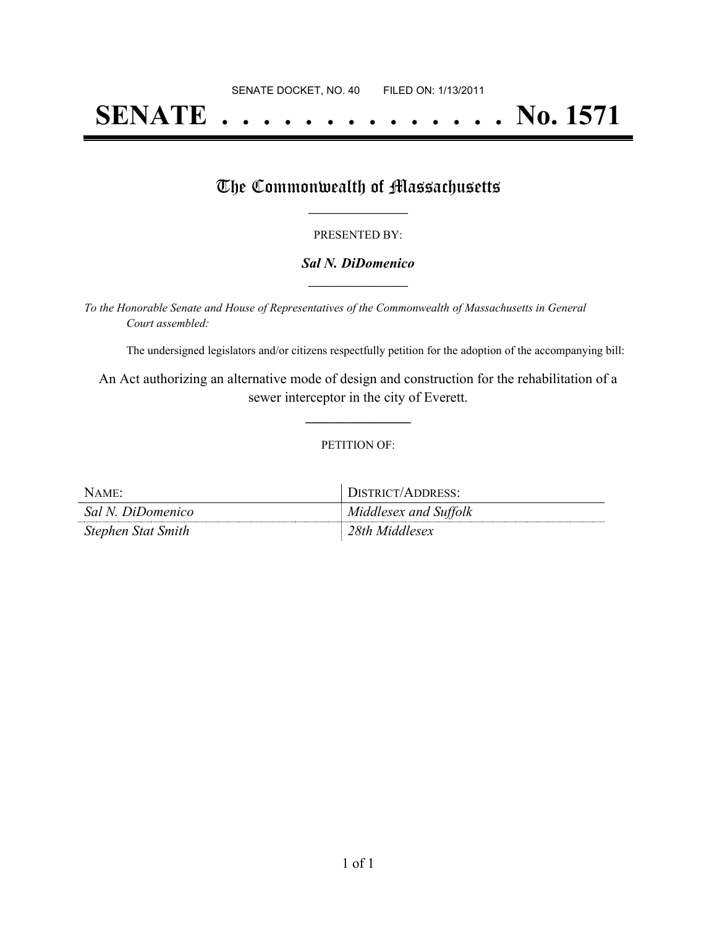# **SENATE . . . . . . . . . . . . . . No. 1571**

### The Commonwealth of Massachusetts

#### PRESENTED BY:

#### *Sal N. DiDomenico* **\_\_\_\_\_\_\_\_\_\_\_\_\_\_\_\_\_**

*To the Honorable Senate and House of Representatives of the Commonwealth of Massachusetts in General Court assembled:*

The undersigned legislators and/or citizens respectfully petition for the adoption of the accompanying bill:

An Act authorizing an alternative mode of design and construction for the rehabilitation of a sewer interceptor in the city of Everett.

**\_\_\_\_\_\_\_\_\_\_\_\_\_\_\_**

#### PETITION OF:

| NAME:              | DISTRICT/ADDRESS:     |
|--------------------|-----------------------|
| Sal N. DiDomenico  | Middlesex and Suffolk |
| Stephen Stat Smith | 28th Middlesex        |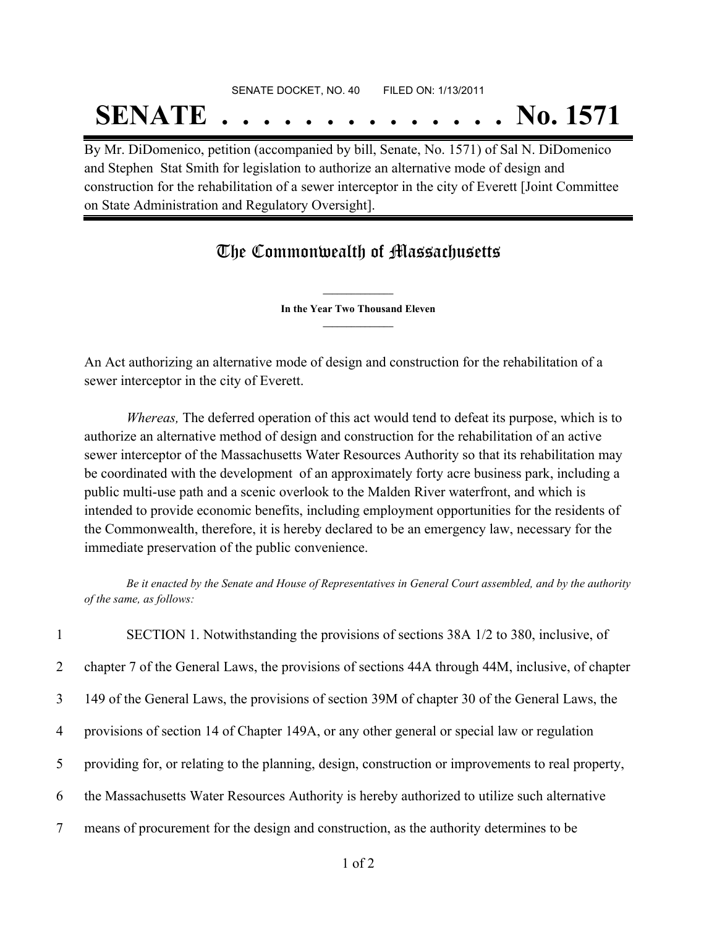## SENATE DOCKET, NO. 40 FILED ON: 1/13/2011 **SENATE . . . . . . . . . . . . . . No. 1571**

By Mr. DiDomenico, petition (accompanied by bill, Senate, No. 1571) of Sal N. DiDomenico and Stephen Stat Smith for legislation to authorize an alternative mode of design and construction for the rehabilitation of a sewer interceptor in the city of Everett [Joint Committee on State Administration and Regulatory Oversight].

## The Commonwealth of Massachusetts

**\_\_\_\_\_\_\_\_\_\_\_\_\_\_\_ In the Year Two Thousand Eleven \_\_\_\_\_\_\_\_\_\_\_\_\_\_\_**

An Act authorizing an alternative mode of design and construction for the rehabilitation of a sewer interceptor in the city of Everett.

*Whereas,* The deferred operation of this act would tend to defeat its purpose, which is to authorize an alternative method of design and construction for the rehabilitation of an active sewer interceptor of the Massachusetts Water Resources Authority so that its rehabilitation may be coordinated with the development of an approximately forty acre business park, including a public multi-use path and a scenic overlook to the Malden River waterfront, and which is intended to provide economic benefits, including employment opportunities for the residents of the Commonwealth, therefore, it is hereby declared to be an emergency law, necessary for the immediate preservation of the public convenience.

Be it enacted by the Senate and House of Representatives in General Court assembled, and by the authority *of the same, as follows:*

 SECTION 1. Notwithstanding the provisions of sections 38A 1/2 to 380, inclusive, of chapter 7 of the General Laws, the provisions of sections 44A through 44M, inclusive, of chapter 149 of the General Laws, the provisions of section 39M of chapter 30 of the General Laws, the provisions of section 14 of Chapter 149A, or any other general or special law or regulation providing for, or relating to the planning, design, construction or improvements to real property, the Massachusetts Water Resources Authority is hereby authorized to utilize such alternative means of procurement for the design and construction, as the authority determines to be